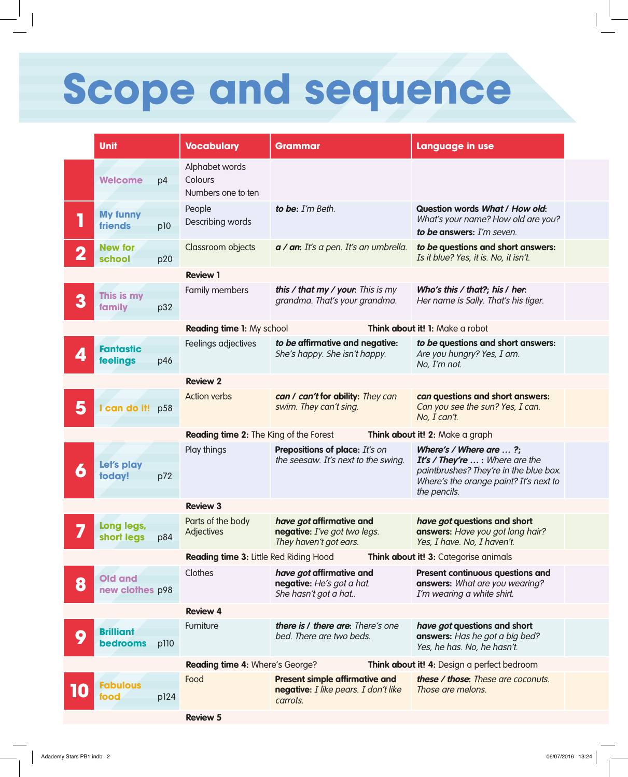## **Scope and sequence**

|                                                                                 | <b>Unit</b>                                                  |      | <b>Vocabulary</b>                               | <b>Grammar</b>                                                                            | Language in use                                                                                                                                                        |  |
|---------------------------------------------------------------------------------|--------------------------------------------------------------|------|-------------------------------------------------|-------------------------------------------------------------------------------------------|------------------------------------------------------------------------------------------------------------------------------------------------------------------------|--|
|                                                                                 | Welcome                                                      | p4   | Alphabet words<br>Colours<br>Numbers one to ten |                                                                                           |                                                                                                                                                                        |  |
|                                                                                 | <b>My funny</b><br>friends                                   | p10  | People<br>Describing words                      | to be: I'm Beth.                                                                          | Question words What / How old:<br>What's your name? How old are you?<br>to be answers: I'm seven.                                                                      |  |
|                                                                                 | <b>New for</b><br>school                                     | p20  | Classroom objects                               | a / an: It's a pen. It's an umbrella.                                                     | to be questions and short answers:<br>Is it blue? Yes, it is. No, it isn't.                                                                                            |  |
|                                                                                 |                                                              |      | <b>Review 1</b>                                 |                                                                                           |                                                                                                                                                                        |  |
| 3                                                                               | This is my<br>family                                         | p32  | Family members                                  | this / that my / your. This is my<br>grandma. That's your grandma.                        | Who's this / that?; his / her.<br>Her name is Sally. That's his tiger.                                                                                                 |  |
|                                                                                 | Reading time 1: My school<br>Think about it! 1: Make a robot |      |                                                 |                                                                                           |                                                                                                                                                                        |  |
|                                                                                 | <b>Fantastic</b><br>feelings                                 | p46  | Feelings adjectives                             | to be affirmative and negative:<br>She's happy. She isn't happy.                          | to be questions and short answers:<br>Are you hungry? Yes, I am.<br>No, I'm not.                                                                                       |  |
|                                                                                 |                                                              |      | <b>Review 2</b>                                 |                                                                                           |                                                                                                                                                                        |  |
| 5                                                                               | can do it! p58                                               |      | <b>Action verbs</b>                             | can / can't for ability: They can<br>swim. They can't sing.                               | can questions and short answers:<br>Can you see the sun? Yes, I can.<br>No, I can't.                                                                                   |  |
|                                                                                 |                                                              |      | Reading time 2: The King of the Forest          |                                                                                           | Think about it! 2: Make a graph                                                                                                                                        |  |
| G                                                                               | Let's play<br>today!                                         | p72  | Play things                                     | Prepositions of place: It's on<br>the seesaw. It's next to the swing.                     | Where's / Where are $\ldots$ ?;<br>It's / They're  : Where are the<br>paintbrushes? They're in the blue box.<br>Where's the orange paint? It's next to<br>the pencils. |  |
|                                                                                 |                                                              |      | <b>Review 3</b>                                 |                                                                                           |                                                                                                                                                                        |  |
|                                                                                 | Long legs,                                                   | p84  | Parts of the body<br>Adjectives                 | have got affirmative and<br>negative: I've got two legs.<br>They haven't got ears.        | have got questions and short<br>answers: Have you got long hair?<br>Yes, 1 have. No, 1 haven't.                                                                        |  |
| Reading time 3: Little Red Riding Hood<br>Think about it! 3: Categorise animals |                                                              |      |                                                 |                                                                                           |                                                                                                                                                                        |  |
| 8                                                                               | <b>Old and</b><br>new clothes p98                            |      | Clothes                                         | have got affirmative and<br>negative: He's got a hat.<br>She hasn't got a hat             | Present continuous questions and<br>answers: What are you wearing?<br>I'm wearing a white shirt.                                                                       |  |
|                                                                                 |                                                              |      | <b>Review 4</b>                                 |                                                                                           |                                                                                                                                                                        |  |
| Q                                                                               | <b>Brilliant</b><br>bedrooms                                 | p110 | Furniture                                       | there is / there are: There's one<br>bed. There are two beds.                             | have got questions and short<br>answers: Has he got a big bed?<br>Yes, he has. No, he hasn't.                                                                          |  |
|                                                                                 |                                                              |      | Reading time 4: Where's George?                 |                                                                                           | Think about it! 4: Design a perfect bedroom                                                                                                                            |  |
|                                                                                 | <b>abulous</b><br>iood                                       | p124 | Food                                            | <b>Present simple affirmative and</b><br>negative: I like pears. I don't like<br>carrots. | these / those: These are coconuts.<br>Those are melons.                                                                                                                |  |
|                                                                                 |                                                              |      | <b>Review 5</b>                                 |                                                                                           |                                                                                                                                                                        |  |